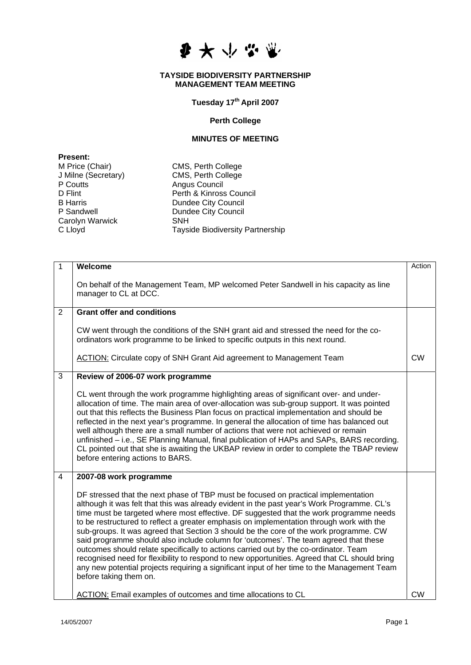

## **TAYSIDE BIODIVERSITY PARTNERSHIP MANAGEMENT TEAM MEETING**

## **Tuesday 17th April 2007**

## **Perth College**

## **MINUTES OF MEETING**

**Present:**  P Coutts **Angus Council**<br>
D Flint **Perth & Kinross** Carolyn Warwick<br>C Lloyd

M Price (Chair) CMS, Perth College J Milne (Secretary) CMS, Perth College Perth & Kinross Council B Harris Dundee City Council<br>
P Sandwell **Dundee City Council** Dundee City Council<br>SNH Tayside Biodiversity Partnership

| 1              | Welcome                                                                                                                                                                                                                                                                                                                                                                                                                                                                                                                                                                                                                                                                                                                                                                                                                                                                  | Action    |
|----------------|--------------------------------------------------------------------------------------------------------------------------------------------------------------------------------------------------------------------------------------------------------------------------------------------------------------------------------------------------------------------------------------------------------------------------------------------------------------------------------------------------------------------------------------------------------------------------------------------------------------------------------------------------------------------------------------------------------------------------------------------------------------------------------------------------------------------------------------------------------------------------|-----------|
|                | On behalf of the Management Team, MP welcomed Peter Sandwell in his capacity as line<br>manager to CL at DCC.                                                                                                                                                                                                                                                                                                                                                                                                                                                                                                                                                                                                                                                                                                                                                            |           |
| $\overline{2}$ | <b>Grant offer and conditions</b>                                                                                                                                                                                                                                                                                                                                                                                                                                                                                                                                                                                                                                                                                                                                                                                                                                        |           |
|                | CW went through the conditions of the SNH grant aid and stressed the need for the co-<br>ordinators work programme to be linked to specific outputs in this next round.                                                                                                                                                                                                                                                                                                                                                                                                                                                                                                                                                                                                                                                                                                  |           |
|                | ACTION: Circulate copy of SNH Grant Aid agreement to Management Team                                                                                                                                                                                                                                                                                                                                                                                                                                                                                                                                                                                                                                                                                                                                                                                                     | <b>CW</b> |
| 3              | Review of 2006-07 work programme                                                                                                                                                                                                                                                                                                                                                                                                                                                                                                                                                                                                                                                                                                                                                                                                                                         |           |
|                | CL went through the work programme highlighting areas of significant over- and under-<br>allocation of time. The main area of over-allocation was sub-group support. It was pointed<br>out that this reflects the Business Plan focus on practical implementation and should be<br>reflected in the next year's programme. In general the allocation of time has balanced out<br>well although there are a small number of actions that were not achieved or remain<br>unfinished - i.e., SE Planning Manual, final publication of HAPs and SAPs, BARS recording.<br>CL pointed out that she is awaiting the UKBAP review in order to complete the TBAP review<br>before entering actions to BARS.                                                                                                                                                                       |           |
| $\overline{4}$ | 2007-08 work programme                                                                                                                                                                                                                                                                                                                                                                                                                                                                                                                                                                                                                                                                                                                                                                                                                                                   |           |
|                | DF stressed that the next phase of TBP must be focused on practical implementation<br>although it was felt that this was already evident in the past year's Work Programme. CL's<br>time must be targeted where most effective. DF suggested that the work programme needs<br>to be restructured to reflect a greater emphasis on implementation through work with the<br>sub-groups. It was agreed that Section 3 should be the core of the work programme. CW<br>said programme should also include column for 'outcomes'. The team agreed that these<br>outcomes should relate specifically to actions carried out by the co-ordinator. Team<br>recognised need for flexibility to respond to new opportunities. Agreed that CL should bring<br>any new potential projects requiring a significant input of her time to the Management Team<br>before taking them on. |           |
|                | <b>ACTION:</b> Email examples of outcomes and time allocations to CL                                                                                                                                                                                                                                                                                                                                                                                                                                                                                                                                                                                                                                                                                                                                                                                                     | <b>CW</b> |